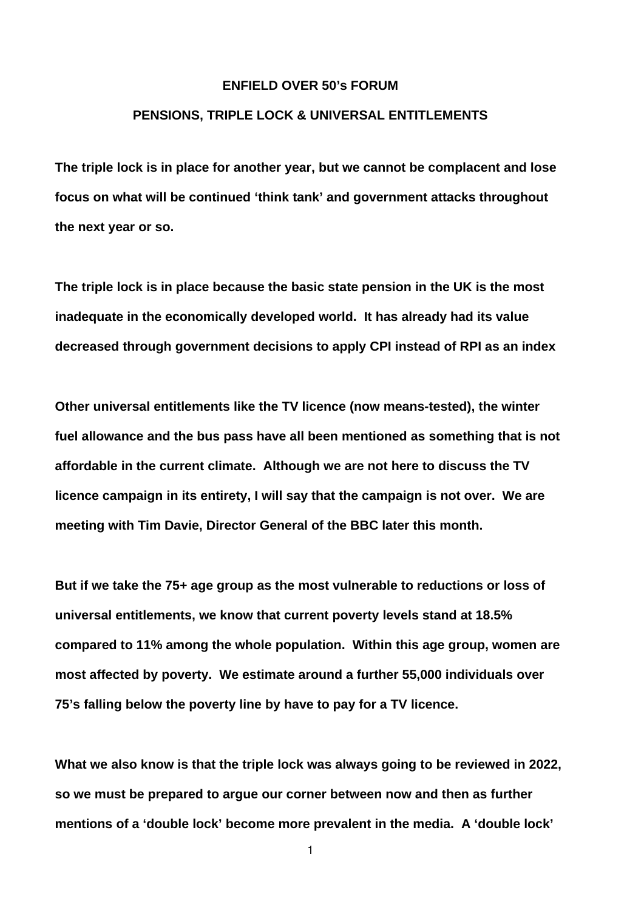## **ENFIELD OVER 50's FORUM**

## **PENSIONS, TRIPLE LOCK & UNIVERSAL ENTITLEMENTS**

**The triple lock is in place for another year, but we cannot be complacent and lose focus on what will be continued 'think tank' and government attacks throughout the next year or so.**

**The triple lock is in place because the basic state pension in the UK is the most inadequate in the economically developed world. It has already had its value decreased through government decisions to apply CPI instead of RPI as an index**

**Other universal entitlements like the TV licence (now means-tested), the winter fuel allowance and the bus pass have all been mentioned as something that is not affordable in the current climate. Although we are not here to discuss the TV licence campaign in its entirety, I will say that the campaign is not over. We are meeting with Tim Davie, Director General of the BBC later this month.**

**But if we take the 75+ age group as the most vulnerable to reductions or loss of universal entitlements, we know that current poverty levels stand at 18.5% compared to 11% among the whole population. Within this age group, women are most affected by poverty. We estimate around a further 55,000 individuals over 75's falling below the poverty line by have to pay for a TV licence.**

**What we also know is that the triple lock was always going to be reviewed in 2022, so we must be prepared to argue our corner between now and then as further mentions of a 'double lock' become more prevalent in the media. A 'double lock'**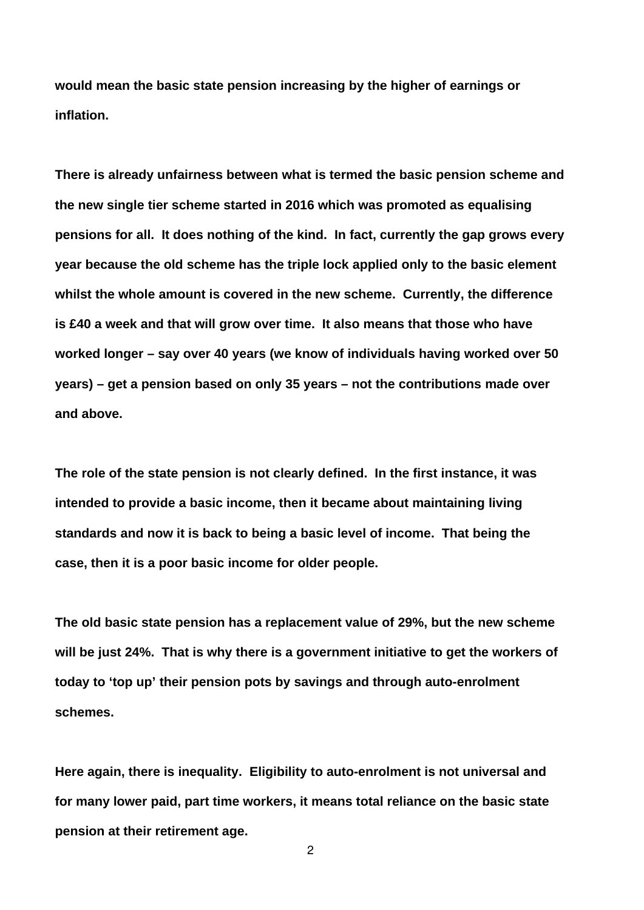**would mean the basic state pension increasing by the higher of earnings or inflation.**

**There is already unfairness between what is termed the basic pension scheme and the new single tier scheme started in 2016 which was promoted as equalising pensions for all. It does nothing of the kind. In fact, currently the gap grows every year because the old scheme has the triple lock applied only to the basic element whilst the whole amount is covered in the new scheme. Currently, the difference is £40 a week and that will grow over time. It also means that those who have worked longer – say over 40 years (we know of individuals having worked over 50 years) – get a pension based on only 35 years – not the contributions made over and above.**

**The role of the state pension is not clearly defined. In the first instance, it was intended to provide a basic income, then it became about maintaining living standards and now it is back to being a basic level of income. That being the case, then it is a poor basic income for older people.**

**The old basic state pension has a replacement value of 29%, but the new scheme will be just 24%. That is why there is a government initiative to get the workers of today to 'top up' their pension pots by savings and through auto-enrolment schemes.**

**Here again, there is inequality. Eligibility to auto-enrolment is not universal and for many lower paid, part time workers, it means total reliance on the basic state pension at their retirement age.**

 $\mathfrak{p}$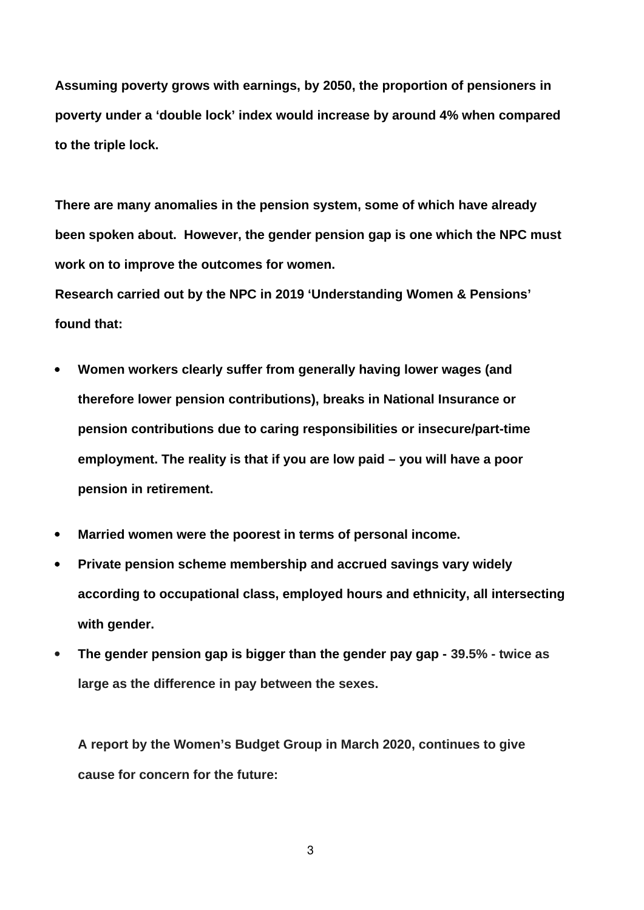**Assuming poverty grows with earnings, by 2050, the proportion of pensioners in poverty under a 'double lock' index would increase by around 4% when compared to the triple lock.**

**There are many anomalies in the pension system, some of which have already been spoken about. However, the gender pension gap is one which the NPC must work on to improve the outcomes for women.**

**Research carried out by the NPC in 2019 'Understanding Women & Pensions' found that:**

- **Women workers clearly suffer from generally having lower wages (and therefore lower pension contributions), breaks in National Insurance or pension contributions due to caring responsibilities or insecure/part-time employment. The reality is that if you are low paid – you will have a poor pension in retirement.**
- **Married women were the poorest in terms of personal income.**
- **Private pension scheme membership and accrued savings vary widely according to occupational class, employed hours and ethnicity, all intersecting with gender.**
- **The gender pension gap is bigger than the gender pay gap 39.5% twice as large as the difference in pay between the sexes.**

**A report by the Women's Budget Group in March 2020, continues to give cause for concern for the future:**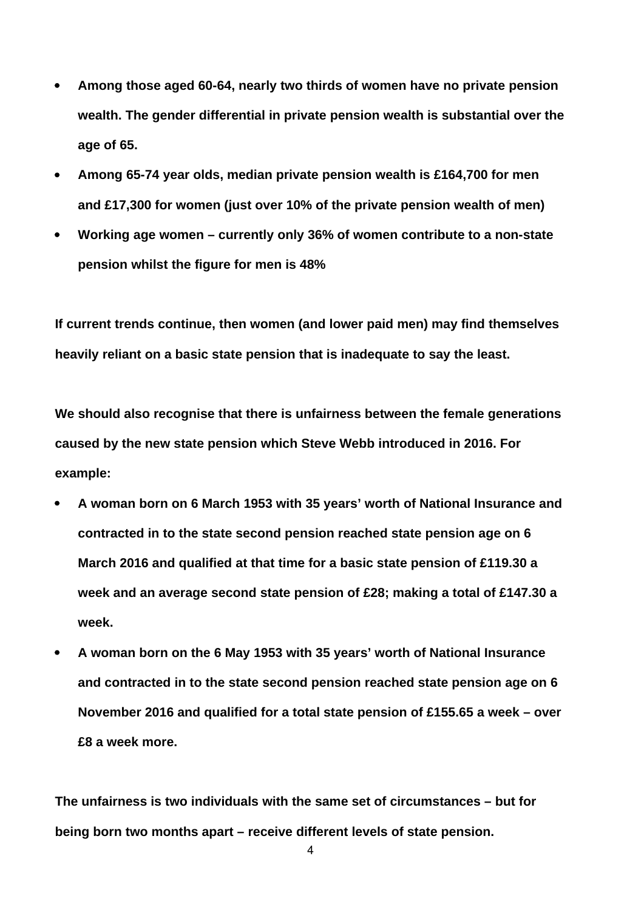- **Among those aged 60-64, nearly two thirds of women have no private pension wealth. The gender differential in private pension wealth is substantial over the age of 65.**
- **Among 65-74 year olds, median private pension wealth is £164,700 for men and £17,300 for women (just over 10% of the private pension wealth of men)**
- **Working age women currently only 36% of women contribute to a non-state pension whilst the figure for men is 48%**

**If current trends continue, then women (and lower paid men) may find themselves heavily reliant on a basic state pension that is inadequate to say the least.**

**We should also recognise that there is unfairness between the female generations caused by the new state pension which Steve Webb introduced in 2016. For example:** 

- **A woman born on 6 March 1953 with 35 years' worth of National Insurance and contracted in to the state second pension reached state pension age on 6 March 2016 and qualified at that time for a basic state pension of £119.30 a week and an average second state pension of £28; making a total of £147.30 a week.**
- **A woman born on the 6 May 1953 with 35 years' worth of National Insurance and contracted in to the state second pension reached state pension age on 6 November 2016 and qualified for a total state pension of £155.65 a week – over £8 a week more.**

**The unfairness is two individuals with the same set of circumstances – but for being born two months apart – receive different levels of state pension.**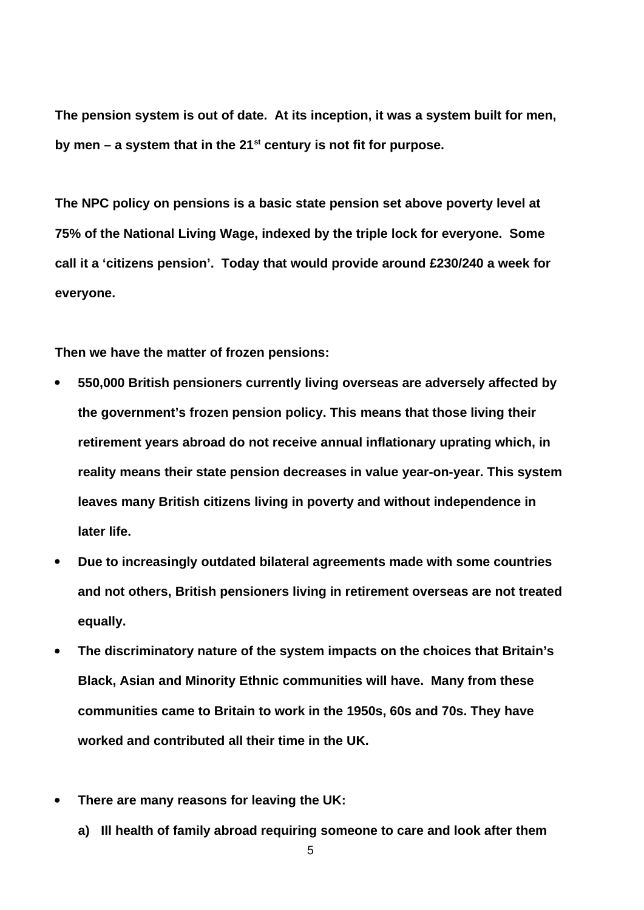**The pension system is out of date. At its inception, it was a system built for men, by men – a system that in the 21st century is not fit for purpose.** 

**The NPC policy on pensions is a basic state pension set above poverty level at 75% of the National Living Wage, indexed by the triple lock for everyone. Some call it a 'citizens pension'. Today that would provide around £230/240 a week for everyone.**

**Then we have the matter of frozen pensions:**

- **550,000 British pensioners currently living overseas are adversely affected by the government's frozen pension policy. This means that those living their retirement years abroad do not receive annual inflationary uprating which, in reality means their state pension decreases in value year-on-year. This system leaves many British citizens living in poverty and without independence in later life.**
- **Due to increasingly outdated bilateral agreements made with some countries and not others, British pensioners living in retirement overseas are not treated equally.**
- **The discriminatory nature of the system impacts on the choices that Britain's Black, Asian and Minority Ethnic communities will have. Many from these communities came to Britain to work in the 1950s, 60s and 70s. They have worked and contributed all their time in the UK.**
- **There are many reasons for leaving the UK:**
	- **a) Ill health of family abroad requiring someone to care and look after them**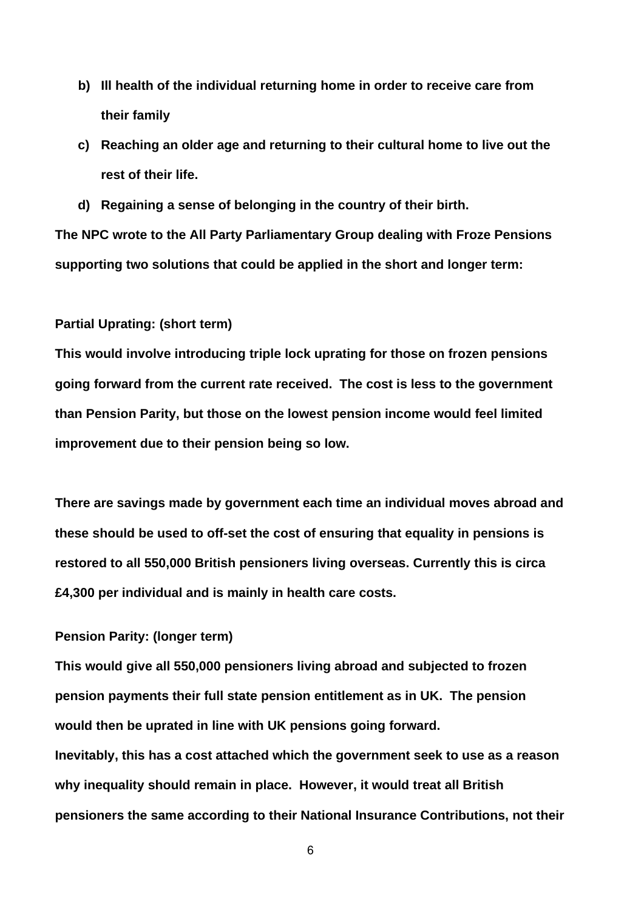- **b) Ill health of the individual returning home in order to receive care from their family**
- **c) Reaching an older age and returning to their cultural home to live out the rest of their life.**
- **d) Regaining a sense of belonging in the country of their birth.**

**The NPC wrote to the All Party Parliamentary Group dealing with Froze Pensions supporting two solutions that could be applied in the short and longer term:**

## **Partial Uprating: (short term)**

**This would involve introducing triple lock uprating for those on frozen pensions going forward from the current rate received. The cost is less to the government than Pension Parity, but those on the lowest pension income would feel limited improvement due to their pension being so low.**

**There are savings made by government each time an individual moves abroad and these should be used to off-set the cost of ensuring that equality in pensions is restored to all 550,000 British pensioners living overseas. Currently this is circa £4,300 per individual and is mainly in health care costs.**

## **Pension Parity: (longer term)**

**This would give all 550,000 pensioners living abroad and subjected to frozen pension payments their full state pension entitlement as in UK. The pension would then be uprated in line with UK pensions going forward. Inevitably, this has a cost attached which the government seek to use as a reason why inequality should remain in place. However, it would treat all British pensioners the same according to their National Insurance Contributions, not their**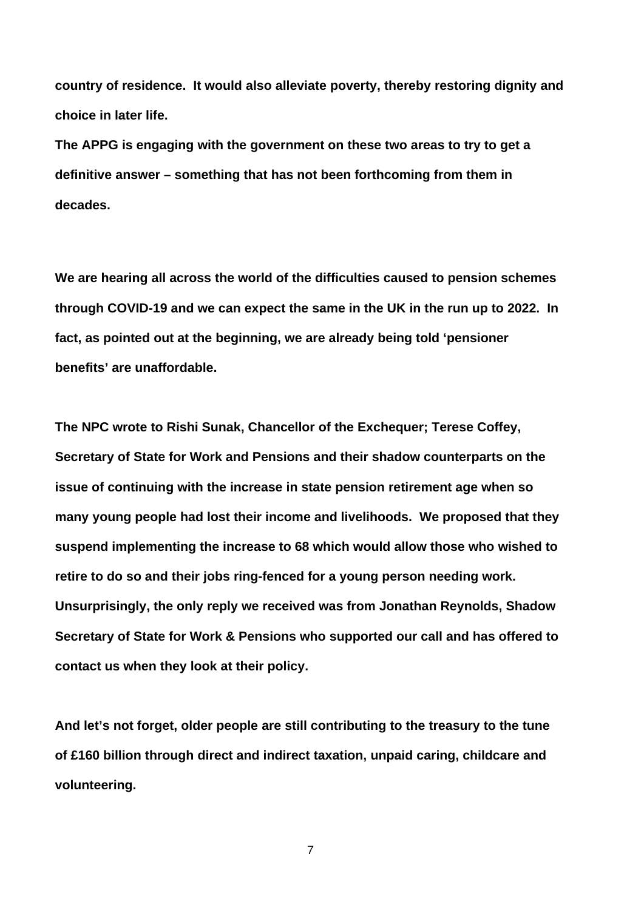**country of residence. It would also alleviate poverty, thereby restoring dignity and choice in later life.**

**The APPG is engaging with the government on these two areas to try to get a definitive answer – something that has not been forthcoming from them in decades.**

**We are hearing all across the world of the difficulties caused to pension schemes through COVID-19 and we can expect the same in the UK in the run up to 2022. In fact, as pointed out at the beginning, we are already being told 'pensioner benefits' are unaffordable.**

**The NPC wrote to Rishi Sunak, Chancellor of the Exchequer; Terese Coffey, Secretary of State for Work and Pensions and their shadow counterparts on the issue of continuing with the increase in state pension retirement age when so many young people had lost their income and livelihoods. We proposed that they suspend implementing the increase to 68 which would allow those who wished to retire to do so and their jobs ring-fenced for a young person needing work. Unsurprisingly, the only reply we received was from Jonathan Reynolds, Shadow Secretary of State for Work & Pensions who supported our call and has offered to contact us when they look at their policy.**

**And let's not forget, older people are still contributing to the treasury to the tune of £160 billion through direct and indirect taxation, unpaid caring, childcare and volunteering.**